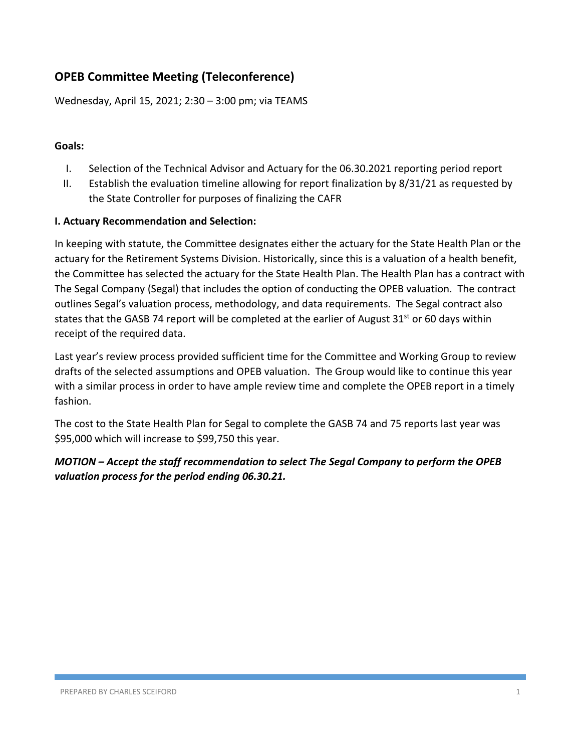# **OPEB Committee Meeting (Teleconference)**

Wednesday, April 15, 2021; 2:30 – 3:00 pm; via TEAMS

#### **Goals:**

- I. Selection of the Technical Advisor and Actuary for the 06.30.2021 reporting period report
- II. Establish the evaluation timeline allowing for report finalization by 8/31/21 as requested by the State Controller for purposes of finalizing the CAFR

#### **I. Actuary Recommendation and Selection:**

In keeping with statute, the Committee designates either the actuary for the State Health Plan or the actuary for the Retirement Systems Division. Historically, since this is a valuation of a health benefit, the Committee has selected the actuary for the State Health Plan. The Health Plan has a contract with The Segal Company (Segal) that includes the option of conducting the OPEB valuation. The contract outlines Segal's valuation process, methodology, and data requirements. The Segal contract also states that the GASB 74 report will be completed at the earlier of August  $31^{st}$  or 60 days within receipt of the required data.

Last year's review process provided sufficient time for the Committee and Working Group to review drafts of the selected assumptions and OPEB valuation. The Group would like to continue this year with a similar process in order to have ample review time and complete the OPEB report in a timely fashion.

The cost to the State Health Plan for Segal to complete the GASB 74 and 75 reports last year was \$95,000 which will increase to \$99,750 this year.

*MOTION – Accept the staff recommendation to select The Segal Company to perform the OPEB valuation process for the period ending 06.30.21.*